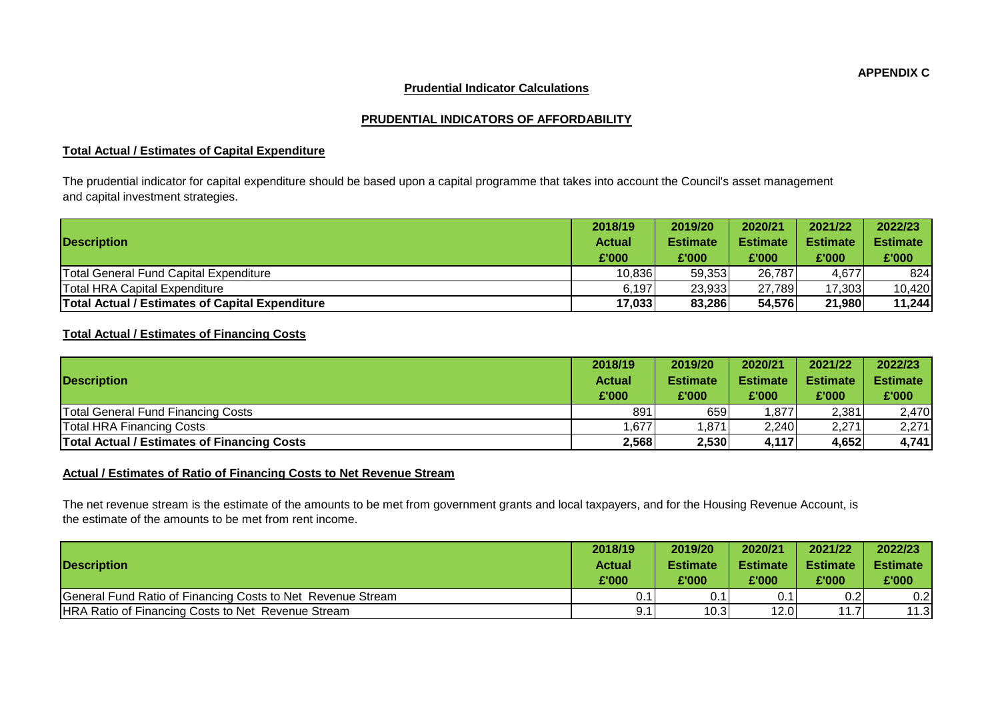**APPENDIX C**

## **Prudential Indicator Calculations**

## **PRUDENTIAL INDICATORS OF AFFORDABILITY**

## **Total Actual / Estimates of Capital Expenditure**

The prudential indicator for capital expenditure should be based upon a capital programme that takes into account the Council's asset management and capital investment strategies.

|                                                        | 2018/19       | 2019/20         | 2020/21         | 2021/22         | 2022/23         |
|--------------------------------------------------------|---------------|-----------------|-----------------|-----------------|-----------------|
| <b>Description</b>                                     | <b>Actual</b> | <b>Estimate</b> | <b>Estimate</b> | <b>Estimate</b> | <b>Estimate</b> |
|                                                        | £'000         | £'000           | £'000           | £'000           | £'000           |
| Total General Fund Capital Expenditure                 | 10,836        | 59,353          | 26,787          | 4.677           | 824             |
| <b>Total HRA Capital Expenditure</b>                   | 6.197         | 23,933          | 27.789          | 17,303          | 10,420          |
| <b>Total Actual / Estimates of Capital Expenditure</b> | 17,033        | 83,286          | 54,576          | 21,980          | 11,244          |

## **Total Actual / Estimates of Financing Costs**

|                                                    | 2018/19       | 2019/20         | 2020/21         | 2021/22         | 2022/23         |
|----------------------------------------------------|---------------|-----------------|-----------------|-----------------|-----------------|
| <b>Description</b>                                 | <b>Actual</b> | <b>Estimate</b> | <b>Estimate</b> | <b>Estimate</b> | <b>Estimate</b> |
|                                                    | £'000         | £'000           | £'000           | £'000           | £'000           |
| <b>Total General Fund Financing Costs</b>          | 891           | 659             | .877            | 2,381           | 2,470           |
| <b>Total HRA Financing Costs</b>                   | .677          | ,871            | 2,240           | 2,271           | 2,271           |
| <b>Total Actual / Estimates of Financing Costs</b> | 2,568         | 2,530           | 4,117           | 4,652           | 4,741           |

## **Actual / Estimates of Ratio of Financing Costs to Net Revenue Stream**

The net revenue stream is the estimate of the amounts to be met from government grants and local taxpayers, and for the Housing Revenue Account, is the estimate of the amounts to be met from rent income.

|                                                             | 2018/19       | 2019/20         | 2020/21         | 2021/22           | 2022/23         |
|-------------------------------------------------------------|---------------|-----------------|-----------------|-------------------|-----------------|
| <b>Description</b>                                          | <b>Actual</b> | <b>Estimate</b> | <b>Estimate</b> | <b>Estimate</b>   | <b>Estimate</b> |
|                                                             | £'000         | £'000           | £'000           | £'000             | £'000           |
| General Fund Ratio of Financing Costs to Net Revenue Stream |               | 0.1             | 0.1             | 0.2               | 0.21            |
| <b>HRA Ratio of Financing Costs to Net Revenue Stream</b>   | 9.1           | 10.3            | 12.0            | 11.7 <sub>1</sub> | 11.3            |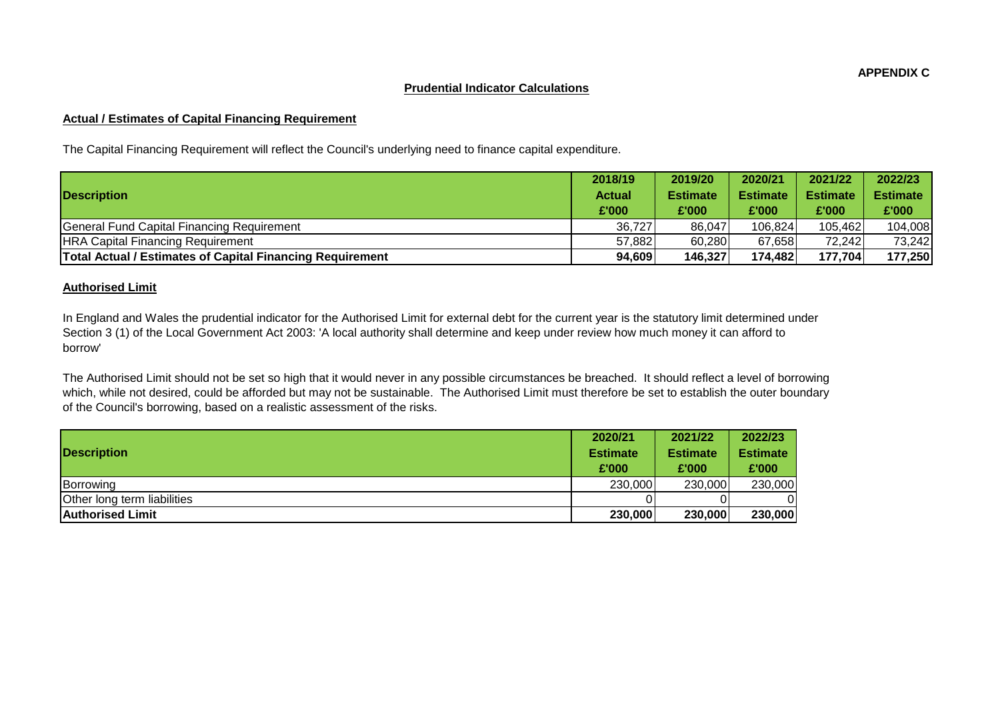#### **Prudential Indicator Calculations**

#### **Actual / Estimates of Capital Financing Requirement**

The Capital Financing Requirement will reflect the Council's underlying need to finance capital expenditure.

|                                                                  | 2018/19       | 2019/20         | 2020/21         | 2021/22         | 2022/23         |
|------------------------------------------------------------------|---------------|-----------------|-----------------|-----------------|-----------------|
| <b>Description</b>                                               | <b>Actual</b> | <b>Estimate</b> | <b>Estimate</b> | <b>Estimate</b> | <b>Estimate</b> |
|                                                                  | £'000         | £'000           | £'000           | £'000           | £'000           |
| General Fund Capital Financing Requirement                       | 36,727        | 86,047          | 106,824         | 105.462         | 104,008         |
| <b>HRA Capital Financing Requirement</b>                         | 57,882        | 60,280          | 67,658          | 72,242          | 73,242          |
| <b>Total Actual / Estimates of Capital Financing Requirement</b> | 94,609        | 146,327         | 174,482         | 177,704         | 177,250         |

#### **Authorised Limit**

In England and Wales the prudential indicator for the Authorised Limit for external debt for the current year is the statutory limit determined under Section 3 (1) of the Local Government Act 2003: 'A local authority shall determine and keep under review how much money it can afford to borrow'

The Authorised Limit should not be set so high that it would never in any possible circumstances be breached. It should reflect a level of borrowing which, while not desired, could be afforded but may not be sustainable. The Authorised Limit must therefore be set to establish the outer boundary of the Council's borrowing, based on a realistic assessment of the risks.

|                             | 2020/21         | 2021/22         | 2022/23         |
|-----------------------------|-----------------|-----------------|-----------------|
| <b>Description</b>          | <b>Estimate</b> | <b>Estimate</b> | <b>Estimate</b> |
|                             | £'000           | £'000           | £'000           |
| Borrowing                   | 230,000         | 230,000         | 230,000         |
| Other long term liabilities |                 |                 | 01              |
| <b>Authorised Limit</b>     | 230,000         | 230,000         | 230,000         |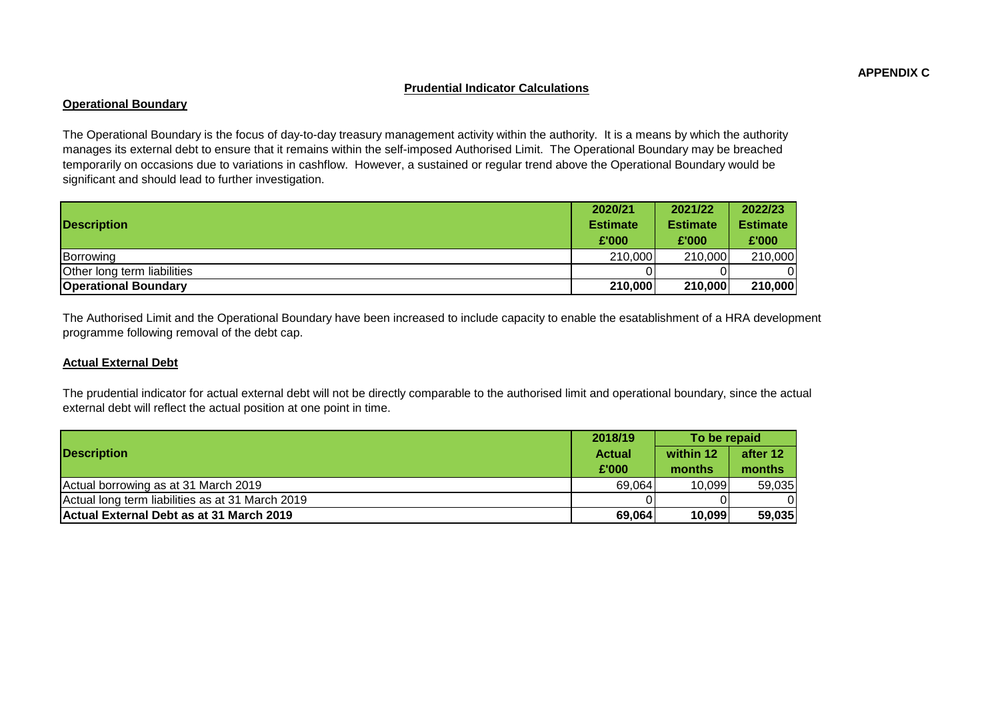#### **Prudential Indicator Calculations**

## **Operational Boundary**

The Operational Boundary is the focus of day-to-day treasury management activity within the authority. It is a means by which the authority manages its external debt to ensure that it remains within the self-imposed Authorised Limit. The Operational Boundary may be breached temporarily on occasions due to variations in cashflow. However, a sustained or regular trend above the Operational Boundary would be significant and should lead to further investigation.

|                                    | 2020/21         | 2021/22         | 2022/23         |
|------------------------------------|-----------------|-----------------|-----------------|
| <b>Description</b>                 | <b>Estimate</b> | <b>Estimate</b> | <b>Estimate</b> |
|                                    | £'000           | £'000           | £'000           |
| Borrowing                          | 210,000         | 210,000         | 210,000         |
| <b>Other long term liabilities</b> |                 |                 |                 |
| <b>Operational Boundary</b>        | 210,000         | 210,000         | 210,000         |

The Authorised Limit and the Operational Boundary have been increased to include capacity to enable the esatablishment of a HRA development programme following removal of the debt cap.

## **Actual External Debt**

The prudential indicator for actual external debt will not be directly comparable to the authorised limit and operational boundary, since the actual external debt will reflect the actual position at one point in time.

|                                                  | 2018/19       | To be repaid |          |
|--------------------------------------------------|---------------|--------------|----------|
| <b>Description</b>                               | <b>Actual</b> | within 12    | after 12 |
|                                                  | £'000         | months       | months   |
| Actual borrowing as at 31 March 2019             | 69,064        | 10,099       | 59,035   |
| Actual long term liabilities as at 31 March 2019 |               |              |          |
| Actual External Debt as at 31 March 2019         | 69,064        | 10,099       | 59,035   |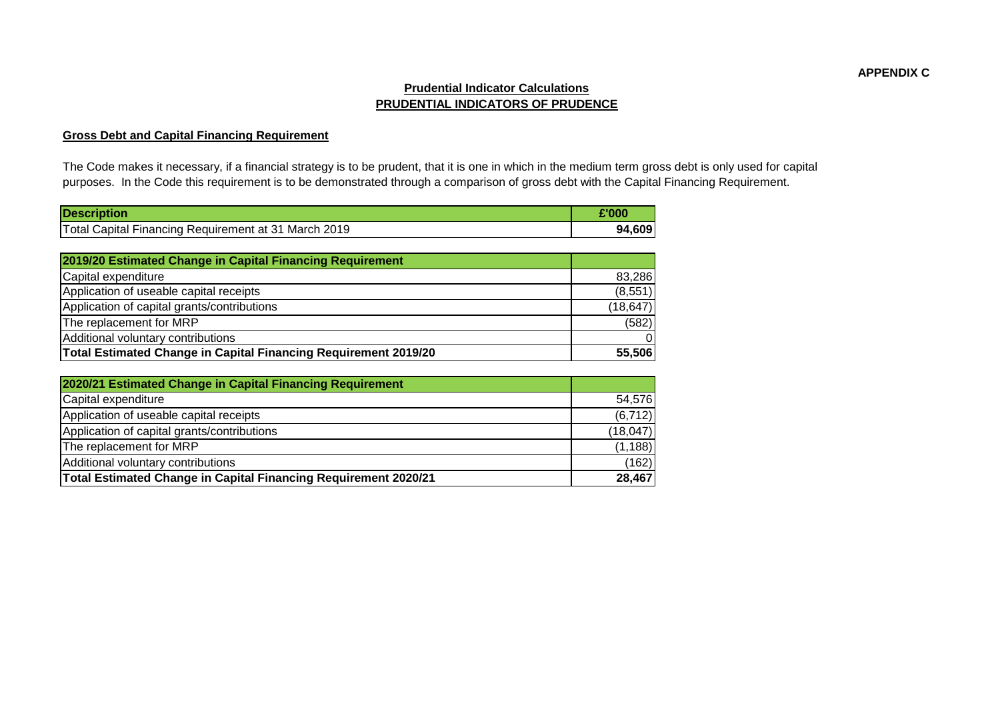# **Prudential Indicator Calculations PRUDENTIAL INDICATORS OF PRUDENCE**

# **Gross Debt and Capital Financing Requirement**

The Code makes it necessary, if a financial strategy is to be prudent, that it is one in which in the medium term gross debt is only used for capital purposes. In the Code this requirement is to be demonstrated through a comparison of gross debt with the Capital Financing Requirement.

| <b>Description</b>                                   | $^{\circ}$ '000 |
|------------------------------------------------------|-----------------|
| Total Capital Financing Requirement at 31 March 2019 | 94,609          |

| 2019/20 Estimated Change in Capital Financing Requirement       |           |
|-----------------------------------------------------------------|-----------|
| Capital expenditure                                             | 83,286    |
| Application of useable capital receipts                         | (8,551)   |
| Application of capital grants/contributions                     | (18, 647) |
| The replacement for MRP                                         | (582)     |
| Additional voluntary contributions                              | $\Omega$  |
| Total Estimated Change in Capital Financing Requirement 2019/20 | 55,506    |

| 2020/21 Estimated Change in Capital Financing Requirement       |           |
|-----------------------------------------------------------------|-----------|
| Capital expenditure                                             | 54,576    |
| Application of useable capital receipts                         | (6, 712)  |
| Application of capital grants/contributions                     | (18, 047) |
| The replacement for MRP                                         | (1, 188)  |
| Additional voluntary contributions                              | (162)     |
| Total Estimated Change in Capital Financing Requirement 2020/21 | 28,467    |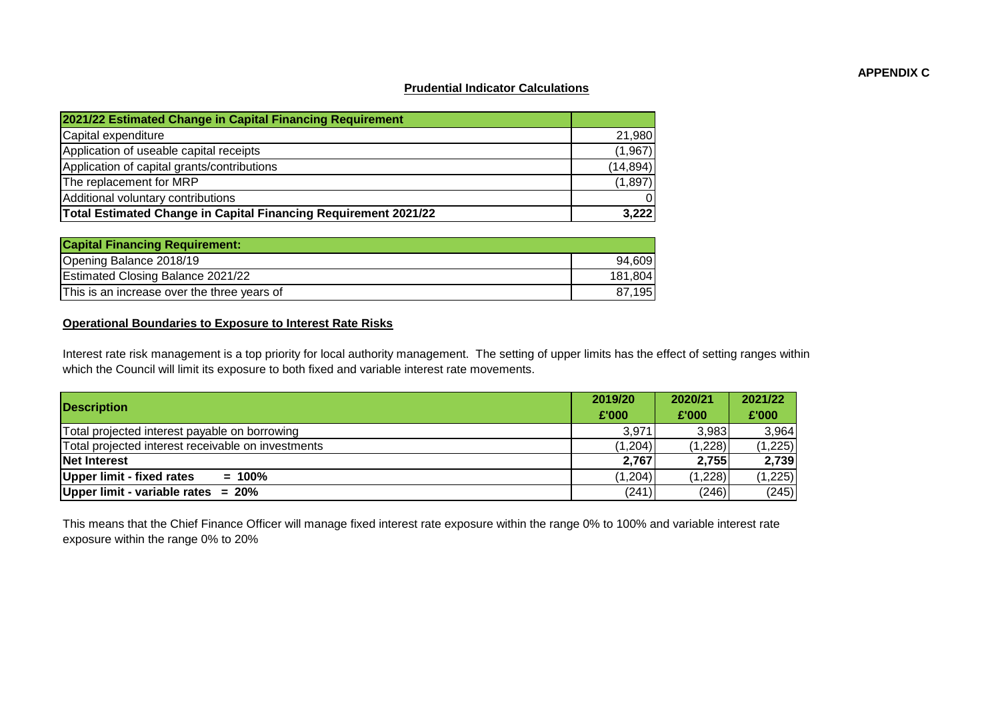## **APPENDIX C**

#### **Prudential Indicator Calculations**

| 2021/22 Estimated Change in Capital Financing Requirement       |           |
|-----------------------------------------------------------------|-----------|
| Capital expenditure                                             | 21,980    |
| Application of useable capital receipts                         | (1,967)   |
| Application of capital grants/contributions                     | (14, 894) |
| The replacement for MRP                                         | (1,897)   |
| Additional voluntary contributions                              | $\Omega$  |
| Total Estimated Change in Capital Financing Requirement 2021/22 | 3,222     |

| <b>Capital Financing Requirement:</b>       |         |
|---------------------------------------------|---------|
| Opening Balance 2018/19                     | 94.609  |
| <b>Estimated Closing Balance 2021/22</b>    | 181.804 |
| This is an increase over the three years of | 87,195  |

# **Operational Boundaries to Exposure to Interest Rate Risks**

Interest rate risk management is a top priority for local authority management. The setting of upper limits has the effect of setting ranges within which the Council will limit its exposure to both fixed and variable interest rate movements.

| <b>Description</b>                                 |          | 2020/21 | 2021/22 |
|----------------------------------------------------|----------|---------|---------|
|                                                    |          | £'000   | £'000   |
| Total projected interest payable on borrowing      | 3,971    | 3,983   | 3,964   |
| Total projected interest receivable on investments | (1, 204) | (1,228) | (1,225) |
| Net Interest                                       | 2,767    | 2,755   | 2,739   |
| Upper limit - fixed rates<br>$= 100\%$             | (1, 204) | (1,228) | (1,225) |
| Upper limit - variable rates = $20\%$              | (241)    | (246)   | (245)   |

This means that the Chief Finance Officer will manage fixed interest rate exposure within the range 0% to 100% and variable interest rate exposure within the range 0% to 20%